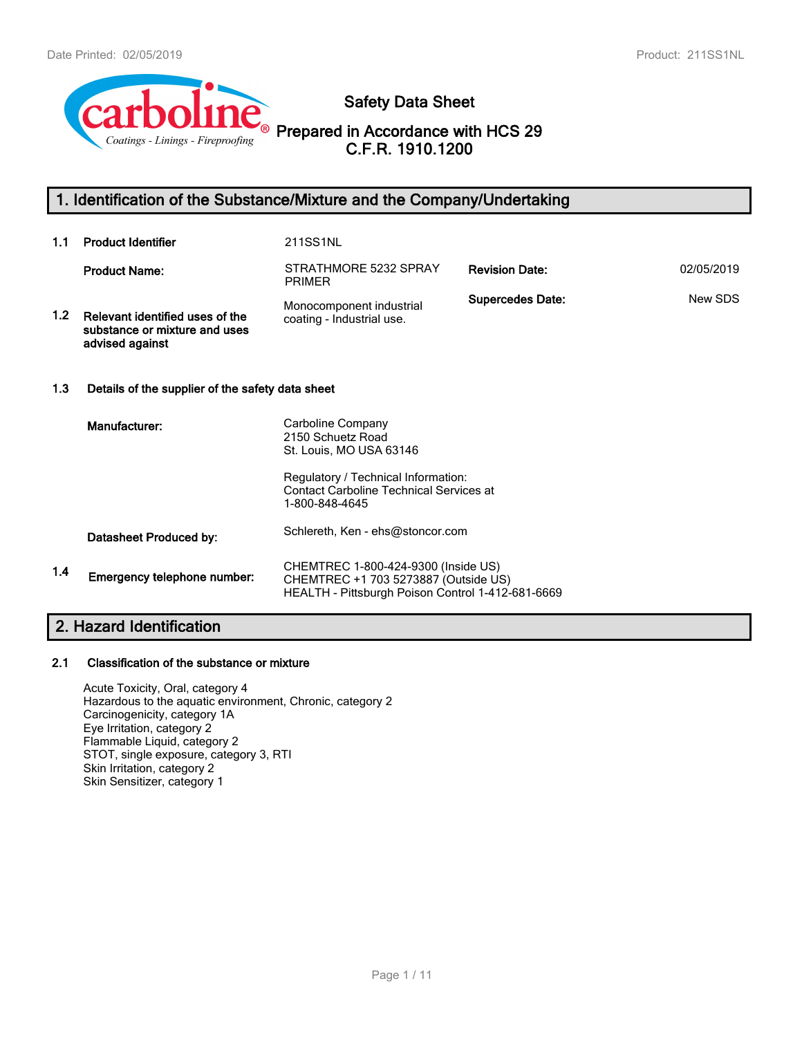

**Safety Data Sheet**

**Prepared in Accordance with HCS 29 C.F.R. 1910.1200**

# **1. Identification of the Substance/Mixture and the Company/Undertaking**

| 1.1              | <b>Product Identifier</b>                                                           | 211SS1NL                                                                                                                                                                     |                         |            |
|------------------|-------------------------------------------------------------------------------------|------------------------------------------------------------------------------------------------------------------------------------------------------------------------------|-------------------------|------------|
|                  | <b>Product Name:</b>                                                                | STRATHMORE 5232 SPRAY<br><b>PRIMER</b>                                                                                                                                       | <b>Revision Date:</b>   | 02/05/2019 |
| 1.2 <sub>1</sub> | Relevant identified uses of the<br>substance or mixture and uses<br>advised against | Monocomponent industrial<br>coating - Industrial use.                                                                                                                        | <b>Supercedes Date:</b> | New SDS    |
| 1.3              | Details of the supplier of the safety data sheet                                    |                                                                                                                                                                              |                         |            |
|                  | Manufacturer:                                                                       | Carboline Company<br>2150 Schuetz Road<br>St. Louis, MO USA 63146<br>Regulatory / Technical Information:<br><b>Contact Carboline Technical Services at</b><br>1-800-848-4645 |                         |            |
|                  | Datasheet Produced by:                                                              | Schlereth, Ken - ehs@stoncor.com                                                                                                                                             |                         |            |
| 1.4              | Emergency telephone number:                                                         | CHEMTREC 1-800-424-9300 (Inside US)<br>CHEMTREC +1 703 5273887 (Outside US)<br>HEALTH - Pittsburgh Poison Control 1-412-681-6669                                             |                         |            |

# **2. Hazard Identification**

# **2.1 Classification of the substance or mixture**

Acute Toxicity, Oral, category 4 Hazardous to the aquatic environment, Chronic, category 2 Carcinogenicity, category 1A Eye Irritation, category 2 Flammable Liquid, category 2 STOT, single exposure, category 3, RTI Skin Irritation, category 2 Skin Sensitizer, category 1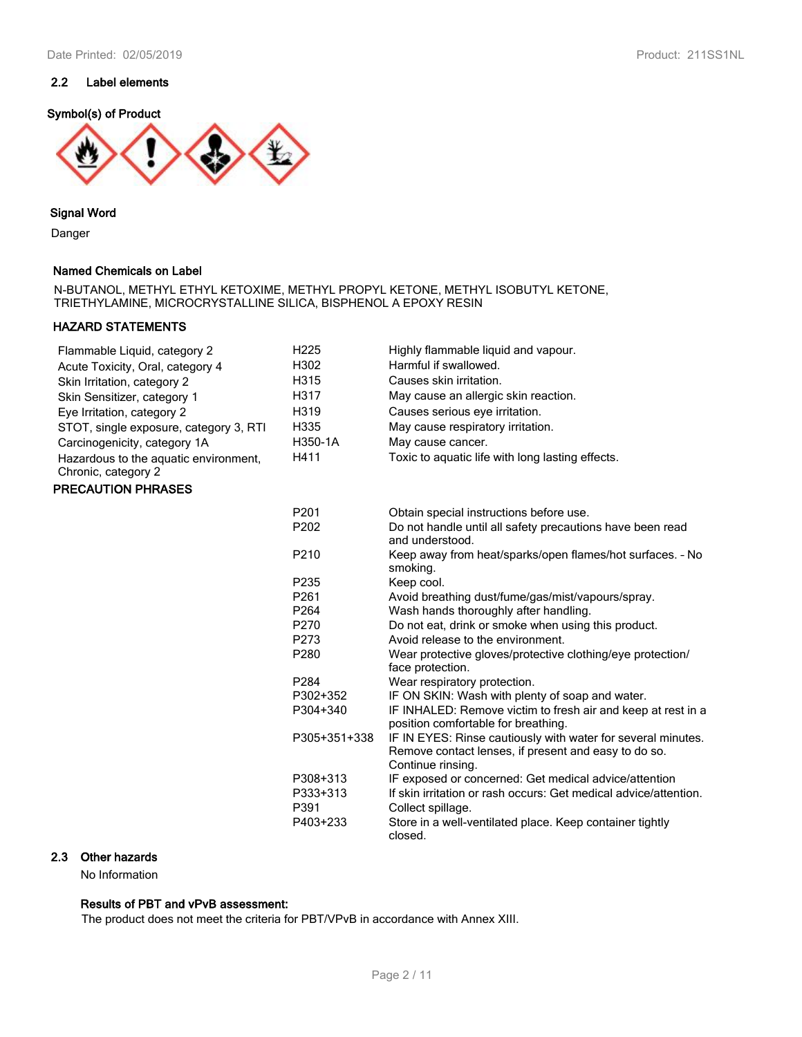# **Symbol(s) of Product**



#### **Signal Word**

Danger

#### **Named Chemicals on Label**

N-BUTANOL, METHYL ETHYL KETOXIME, METHYL PROPYL KETONE, METHYL ISOBUTYL KETONE, TRIETHYLAMINE, MICROCRYSTALLINE SILICA, BISPHENOL A EPOXY RESIN

## **HAZARD STATEMENTS**

| Flammable Liquid, category 2                                 | H <sub>225</sub> | Highly flammable liquid and vapour.                                                                                                       |
|--------------------------------------------------------------|------------------|-------------------------------------------------------------------------------------------------------------------------------------------|
| Acute Toxicity, Oral, category 4                             | H302             | Harmful if swallowed.                                                                                                                     |
| Skin Irritation, category 2                                  | H315             | Causes skin irritation.                                                                                                                   |
| Skin Sensitizer, category 1                                  | H317             | May cause an allergic skin reaction.                                                                                                      |
| Eye Irritation, category 2                                   | H319             | Causes serious eye irritation.                                                                                                            |
| STOT, single exposure, category 3, RTI                       | H335             | May cause respiratory irritation.                                                                                                         |
| Carcinogenicity, category 1A                                 | H350-1A          | May cause cancer.                                                                                                                         |
| Hazardous to the aquatic environment,<br>Chronic, category 2 | H411             | Toxic to aquatic life with long lasting effects.                                                                                          |
| <b>PRECAUTION PHRASES</b>                                    |                  |                                                                                                                                           |
|                                                              | P201             | Obtain special instructions before use.                                                                                                   |
|                                                              | P <sub>202</sub> | Do not handle until all safety precautions have been read<br>and understood.                                                              |
|                                                              | P210             | Keep away from heat/sparks/open flames/hot surfaces. - No<br>smoking.                                                                     |
|                                                              | P235             | Keep cool.                                                                                                                                |
|                                                              | P261             | Avoid breathing dust/fume/gas/mist/vapours/spray.                                                                                         |
|                                                              | P <sub>264</sub> | Wash hands thoroughly after handling.                                                                                                     |
|                                                              | P270             | Do not eat, drink or smoke when using this product.                                                                                       |
|                                                              | P273             | Avoid release to the environment.                                                                                                         |
|                                                              | P280             | Wear protective gloves/protective clothing/eye protection/<br>face protection.                                                            |
|                                                              | P284             | Wear respiratory protection.                                                                                                              |
|                                                              | P302+352         | IF ON SKIN: Wash with plenty of soap and water.                                                                                           |
|                                                              | P304+340         | IF INHALED: Remove victim to fresh air and keep at rest in a<br>position comfortable for breathing.                                       |
|                                                              | P305+351+338     | IF IN EYES: Rinse cautiously with water for several minutes.<br>Remove contact lenses, if present and easy to do so.<br>Continue rinsing. |
|                                                              | P308+313         | IF exposed or concerned: Get medical advice/attention                                                                                     |
|                                                              | P333+313         | If skin irritation or rash occurs: Get medical advice/attention.                                                                          |
|                                                              | P391             | Collect spillage.                                                                                                                         |
|                                                              | P403+233         | Store in a well-ventilated place. Keep container tightly<br>closed.                                                                       |

# **2.3 Other hazards**

No Information

# **Results of PBT and vPvB assessment:**

The product does not meet the criteria for PBT/VPvB in accordance with Annex XIII.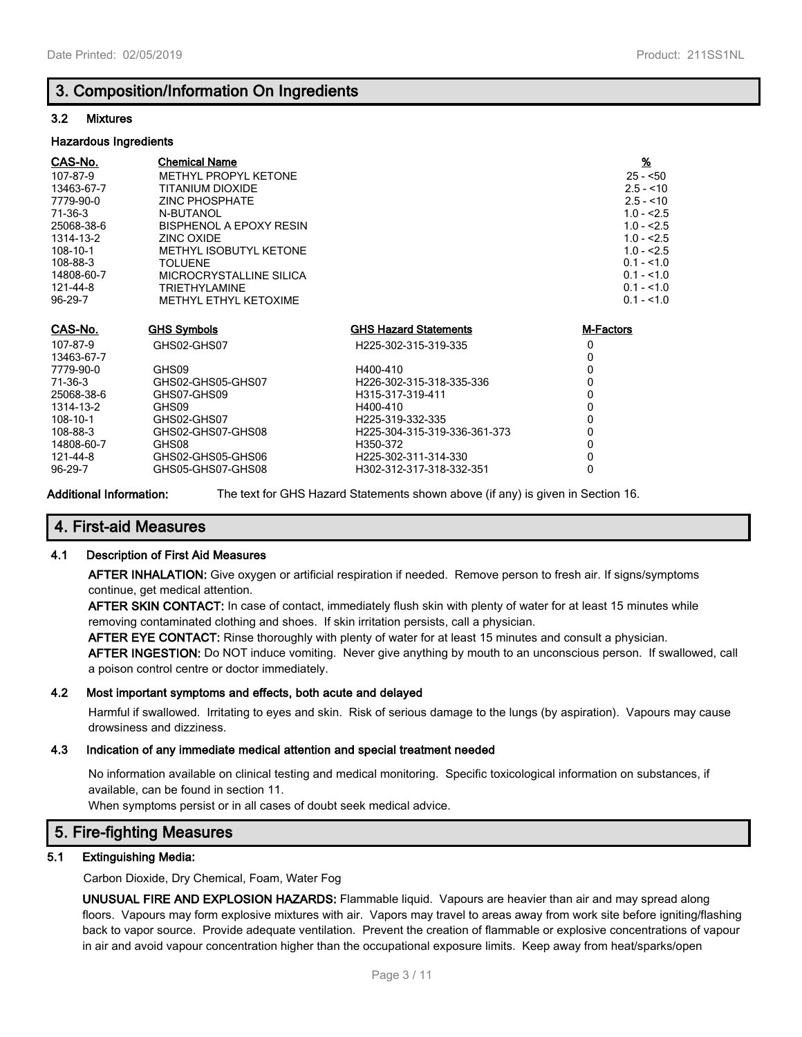# **3. Composition/Information On Ingredients**

### **3.2 Mixtures**

#### **Hazardous Ingredients**

| CAS-No.    | <b>Chemical Name</b>    |                              | $\underline{\mathcal{H}}$ |
|------------|-------------------------|------------------------------|---------------------------|
| 107-87-9   | METHYL PROPYL KETONE    |                              | $25 - 50$                 |
| 13463-67-7 | TITANIUM DIOXIDE        |                              | $2.5 - 10$                |
| 7779-90-0  | <b>ZINC PHOSPHATE</b>   |                              | $2.5 - 10$                |
| 71-36-3    | N-BUTANOL               |                              | $1.0 - 2.5$               |
| 25068-38-6 | BISPHENOL A EPOXY RESIN |                              | $1.0 - 2.5$               |
| 1314-13-2  | ZINC OXIDE              |                              | $1.0 - 2.5$               |
| 108-10-1   | METHYL ISOBUTYL KETONE  |                              | $1.0 - 2.5$               |
| 108-88-3   | <b>TOLUENE</b>          |                              | $0.1 - 1.0$               |
| 14808-60-7 | MICROCRYSTALLINE SILICA |                              | $0.1 - 1.0$               |
| 121-44-8   | <b>TRIETHYLAMINE</b>    |                              | $0.1 - 1.0$               |
| 96-29-7    | METHYL ETHYL KETOXIME   |                              | $0.1 - 1.0$               |
|            |                         |                              |                           |
| CAS-No.    | <b>GHS Symbols</b>      | <b>GHS Hazard Statements</b> | M-Factors                 |
| 107-87-9   | GHS02-GHS07             | H225-302-315-319-335         | 0                         |
| 13463-67-7 |                         |                              | 0                         |
| 7779-90-0  | GHS09                   | H400-410                     | 0                         |
| 71-36-3    | GHS02-GHS05-GHS07       | H226-302-315-318-335-336     | 0                         |
| 25068-38-6 | GHS07-GHS09             | H315-317-319-411             | 0                         |
| 1314-13-2  | GHS09                   | H400-410                     | 0                         |
| 108-10-1   | GHS02-GHS07             | H225-319-332-335             | 0                         |
| 108-88-3   | GHS02-GHS07-GHS08       | H225-304-315-319-336-361-373 | 0                         |
| 14808-60-7 | GHS08                   | H350-372                     | 0                         |
| 121-44-8   | GHS02-GHS05-GHS06       | H225-302-311-314-330         | 0                         |
| 96-29-7    | GHS05-GHS07-GHS08       | H302-312-317-318-332-351     | 0                         |

**Additional Information:** The text for GHS Hazard Statements shown above (if any) is given in Section 16.

## **4. First-aid Measures**

#### **4.1 Description of First Aid Measures**

**AFTER INHALATION:** Give oxygen or artificial respiration if needed. Remove person to fresh air. If signs/symptoms continue, get medical attention.

**AFTER SKIN CONTACT:** In case of contact, immediately flush skin with plenty of water for at least 15 minutes while removing contaminated clothing and shoes. If skin irritation persists, call a physician.

**AFTER EYE CONTACT:** Rinse thoroughly with plenty of water for at least 15 minutes and consult a physician.

**AFTER INGESTION:** Do NOT induce vomiting. Never give anything by mouth to an unconscious person. If swallowed, call a poison control centre or doctor immediately.

#### **4.2 Most important symptoms and effects, both acute and delayed**

Harmful if swallowed. Irritating to eyes and skin. Risk of serious damage to the lungs (by aspiration). Vapours may cause drowsiness and dizziness.

#### **4.3 Indication of any immediate medical attention and special treatment needed**

No information available on clinical testing and medical monitoring. Specific toxicological information on substances, if available, can be found in section 11.

When symptoms persist or in all cases of doubt seek medical advice.

# **5. Fire-fighting Measures**

### **5.1 Extinguishing Media:**

Carbon Dioxide, Dry Chemical, Foam, Water Fog

**UNUSUAL FIRE AND EXPLOSION HAZARDS:** Flammable liquid. Vapours are heavier than air and may spread along floors. Vapours may form explosive mixtures with air. Vapors may travel to areas away from work site before igniting/flashing back to vapor source. Provide adequate ventilation. Prevent the creation of flammable or explosive concentrations of vapour in air and avoid vapour concentration higher than the occupational exposure limits. Keep away from heat/sparks/open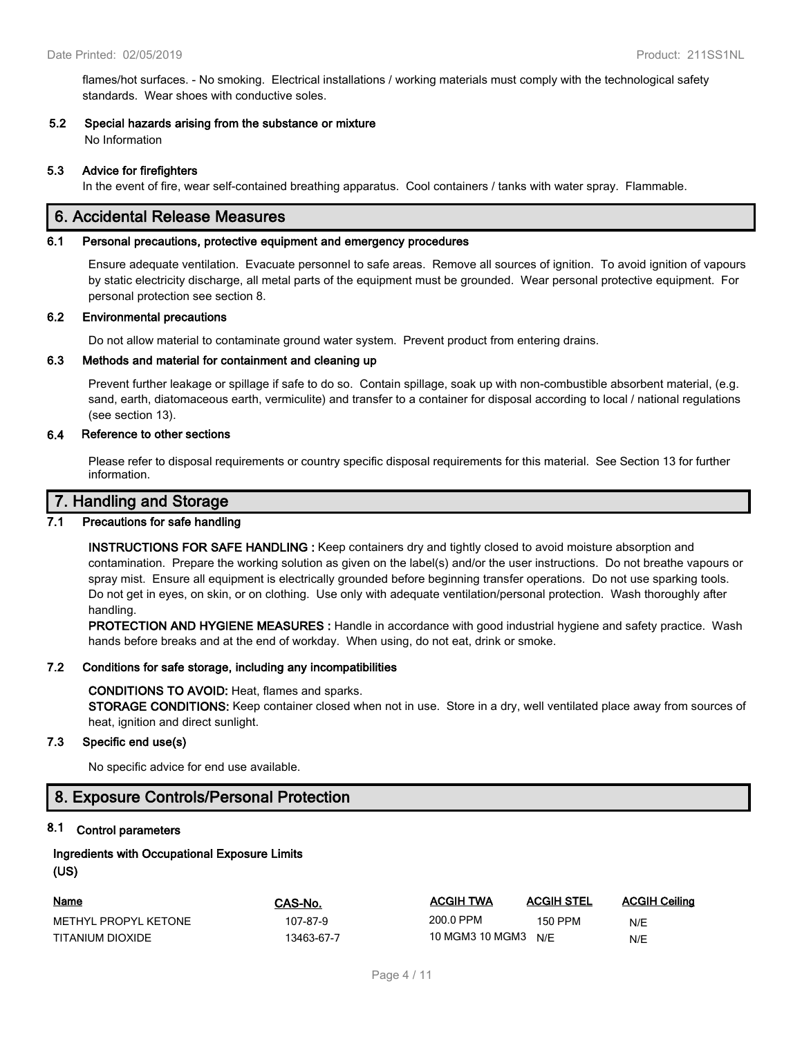flames/hot surfaces. - No smoking. Electrical installations / working materials must comply with the technological safety standards. Wear shoes with conductive soles.

#### **5.2 Special hazards arising from the substance or mixture**

No Information

#### **5.3 Advice for firefighters**

In the event of fire, wear self-contained breathing apparatus. Cool containers / tanks with water spray. Flammable.

# **6. Accidental Release Measures**

#### **6.1 Personal precautions, protective equipment and emergency procedures**

Ensure adequate ventilation. Evacuate personnel to safe areas. Remove all sources of ignition. To avoid ignition of vapours by static electricity discharge, all metal parts of the equipment must be grounded. Wear personal protective equipment. For personal protection see section 8.

#### **6.2 Environmental precautions**

Do not allow material to contaminate ground water system. Prevent product from entering drains.

#### **6.3 Methods and material for containment and cleaning up**

Prevent further leakage or spillage if safe to do so. Contain spillage, soak up with non-combustible absorbent material, (e.g. sand, earth, diatomaceous earth, vermiculite) and transfer to a container for disposal according to local / national regulations (see section 13).

#### **6.4 Reference to other sections**

Please refer to disposal requirements or country specific disposal requirements for this material. See Section 13 for further information.

### **7. Handling and Storage**

### **7.1 Precautions for safe handling**

**INSTRUCTIONS FOR SAFE HANDLING :** Keep containers dry and tightly closed to avoid moisture absorption and contamination. Prepare the working solution as given on the label(s) and/or the user instructions. Do not breathe vapours or spray mist. Ensure all equipment is electrically grounded before beginning transfer operations. Do not use sparking tools. Do not get in eyes, on skin, or on clothing. Use only with adequate ventilation/personal protection. Wash thoroughly after handling.

**PROTECTION AND HYGIENE MEASURES :** Handle in accordance with good industrial hygiene and safety practice. Wash hands before breaks and at the end of workday. When using, do not eat, drink or smoke.

#### **7.2 Conditions for safe storage, including any incompatibilities**

#### **CONDITIONS TO AVOID:** Heat, flames and sparks.

**STORAGE CONDITIONS:** Keep container closed when not in use. Store in a dry, well ventilated place away from sources of heat, ignition and direct sunlight.

#### **7.3 Specific end use(s)**

No specific advice for end use available.

# **8. Exposure Controls/Personal Protection**

#### **8.1 Control parameters**

### **Ingredients with Occupational Exposure Limits (US)**

| <u>Name</u>          | CAS-No.    | <b>ACGIH TWA</b> | <b>ACGIH STEL</b> | <b>ACGIH Ceiling</b> |
|----------------------|------------|------------------|-------------------|----------------------|
| METHYL PROPYL KETONE | 107-87-9   | 200.0 PPM        | 150 PPM           | N/E                  |
| TITANIUM DIOXIDE     | 13463-67-7 | 10 MGM3 10 MGM3  | N/E               | N/E                  |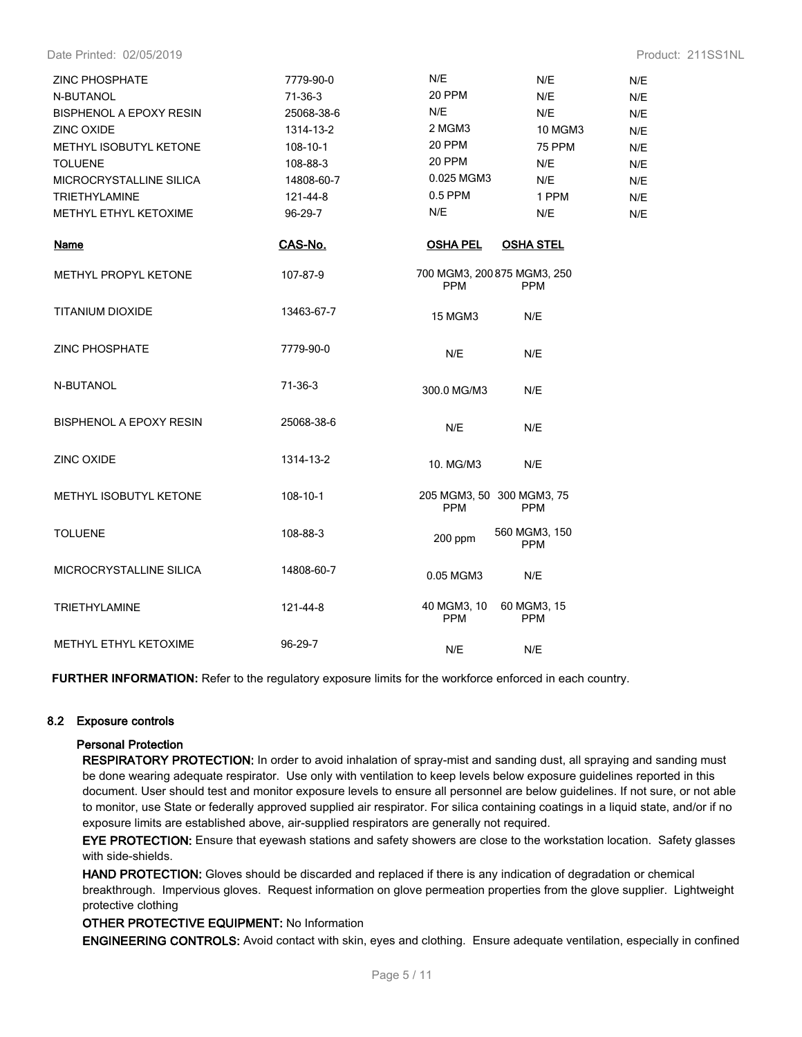Date Printed: 02/05/2019 Product: 211SS1NL

| <b>ZINC PHOSPHATE</b>          | 7779-90-0  | N/E<br>N/E                                              | N/E |
|--------------------------------|------------|---------------------------------------------------------|-----|
| N-BUTANOL                      | $71-36-3$  | 20 PPM<br>N/E                                           | N/E |
| <b>BISPHENOL A EPOXY RESIN</b> | 25068-38-6 | N/E<br>N/E                                              | N/E |
| <b>ZINC OXIDE</b>              | 1314-13-2  | 2 MGM3<br><b>10 MGM3</b>                                | N/E |
| <b>METHYL ISOBUTYL KETONE</b>  | 108-10-1   | 20 PPM<br>75 PPM                                        | N/E |
| <b>TOLUENE</b>                 | 108-88-3   | 20 PPM<br>N/E                                           | N/E |
| <b>MICROCRYSTALLINE SILICA</b> | 14808-60-7 | 0.025 MGM3<br>N/E                                       | N/E |
| <b>TRIETHYLAMINE</b>           | 121-44-8   | $0.5$ PPM<br>1 PPM                                      | N/E |
| METHYL ETHYL KETOXIME          | 96-29-7    | N/E<br>N/E                                              | N/E |
| <b>Name</b>                    | CAS-No.    | <b>OSHA PEL</b><br><b>OSHA STEL</b>                     |     |
| <b>METHYL PROPYL KETONE</b>    | 107-87-9   | 700 MGM3, 200 875 MGM3, 250<br><b>PPM</b><br><b>PPM</b> |     |
| <b>TITANIUM DIOXIDE</b>        | 13463-67-7 | <b>15 MGM3</b><br>N/E                                   |     |
| <b>ZINC PHOSPHATE</b>          | 7779-90-0  | N/E<br>N/E                                              |     |
| N-BUTANOL                      | 71-36-3    | 300.0 MG/M3<br>N/E                                      |     |
| <b>BISPHENOL A EPOXY RESIN</b> | 25068-38-6 | N/E<br>N/E                                              |     |
| ZINC OXIDE                     | 1314-13-2  | 10. MG/M3<br>N/E                                        |     |
| METHYL ISOBUTYL KETONE         | 108-10-1   | 205 MGM3, 50 300 MGM3, 75<br><b>PPM</b><br><b>PPM</b>   |     |
| <b>TOLUENE</b>                 | 108-88-3   | 560 MGM3, 150<br>$200$ ppm<br><b>PPM</b>                |     |
| MICROCRYSTALLINE SILICA        | 14808-60-7 | 0.05 MGM3<br>N/E                                        |     |
| <b>TRIETHYLAMINE</b>           | 121-44-8   | 40 MGM3, 10<br>60 MGM3, 15<br><b>PPM</b><br><b>PPM</b>  |     |
| METHYL ETHYL KETOXIME          | 96-29-7    | N/E<br>N/E                                              |     |

**FURTHER INFORMATION:** Refer to the regulatory exposure limits for the workforce enforced in each country.

### **8.2 Exposure controls**

#### **Personal Protection**

**RESPIRATORY PROTECTION:** In order to avoid inhalation of spray-mist and sanding dust, all spraying and sanding must be done wearing adequate respirator. Use only with ventilation to keep levels below exposure guidelines reported in this document. User should test and monitor exposure levels to ensure all personnel are below guidelines. If not sure, or not able to monitor, use State or federally approved supplied air respirator. For silica containing coatings in a liquid state, and/or if no exposure limits are established above, air-supplied respirators are generally not required.

**EYE PROTECTION:** Ensure that eyewash stations and safety showers are close to the workstation location. Safety glasses with side-shields.

**HAND PROTECTION:** Gloves should be discarded and replaced if there is any indication of degradation or chemical breakthrough. Impervious gloves. Request information on glove permeation properties from the glove supplier. Lightweight protective clothing

#### **OTHER PROTECTIVE EQUIPMENT:** No Information

**ENGINEERING CONTROLS:** Avoid contact with skin, eyes and clothing. Ensure adequate ventilation, especially in confined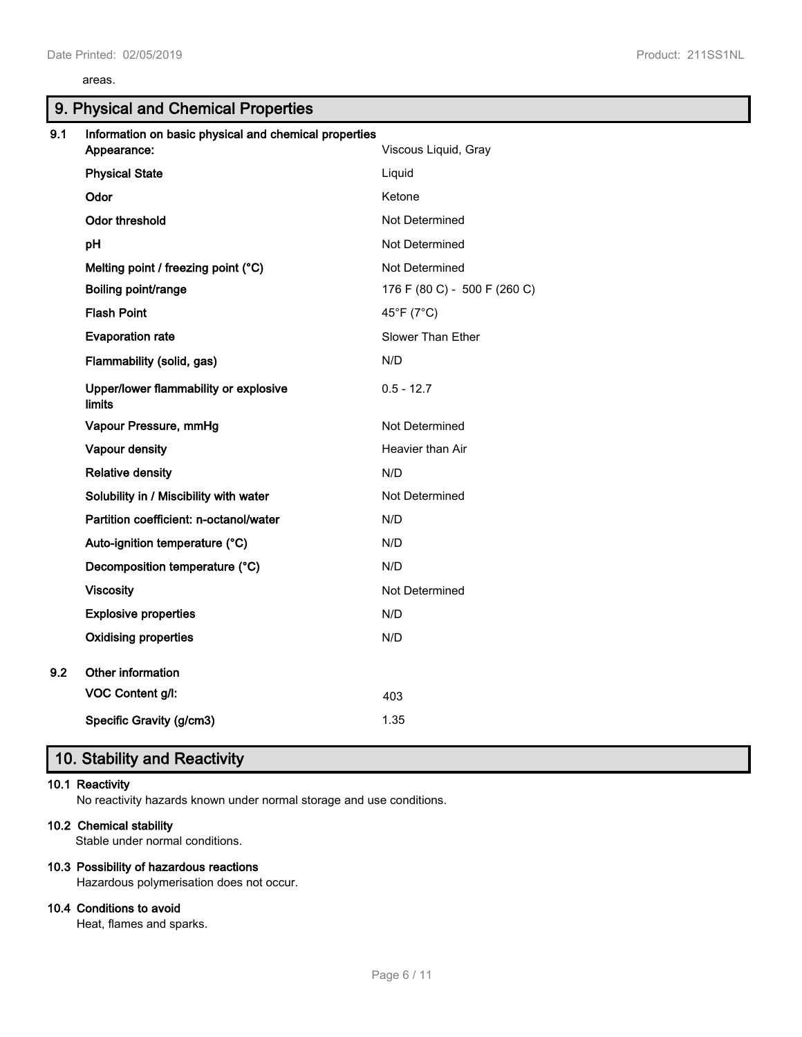#### areas.

# **9. Physical and Chemical Properties**

| 9.1 | Information on basic physical and chemical properties<br>Appearance: | Viscous Liquid, Gray         |
|-----|----------------------------------------------------------------------|------------------------------|
|     | <b>Physical State</b>                                                | Liquid                       |
|     | Odor                                                                 | Ketone                       |
|     | <b>Odor threshold</b>                                                | Not Determined               |
|     | pH                                                                   | Not Determined               |
|     | Melting point / freezing point (°C)                                  | Not Determined               |
|     | Boiling point/range                                                  | 176 F (80 C) - 500 F (260 C) |
|     | <b>Flash Point</b>                                                   | 45°F (7°C)                   |
|     | <b>Evaporation rate</b>                                              | Slower Than Ether            |
|     | Flammability (solid, gas)                                            | N/D                          |
|     | Upper/lower flammability or explosive<br><b>limits</b>               | $0.5 - 12.7$                 |
|     | Vapour Pressure, mmHg                                                | Not Determined               |
|     | Vapour density                                                       | Heavier than Air             |
|     | <b>Relative density</b>                                              | N/D                          |
|     | Solubility in / Miscibility with water                               | Not Determined               |
|     | Partition coefficient: n-octanol/water                               | N/D                          |
|     | Auto-ignition temperature (°C)                                       | N/D                          |
|     | Decomposition temperature (°C)                                       | N/D                          |
|     | <b>Viscosity</b>                                                     | Not Determined               |
|     | <b>Explosive properties</b>                                          | N/D                          |
|     | <b>Oxidising properties</b>                                          | N/D                          |
| 9.2 | Other information                                                    |                              |
|     | VOC Content g/l:                                                     | 403                          |
|     | Specific Gravity (g/cm3)                                             | 1.35                         |

# **10. Stability and Reactivity**

#### **10.1 Reactivity**

No reactivity hazards known under normal storage and use conditions.

#### **10.2 Chemical stability**

Stable under normal conditions.

#### **10.3 Possibility of hazardous reactions**

Hazardous polymerisation does not occur.

### **10.4 Conditions to avoid**

Heat, flames and sparks.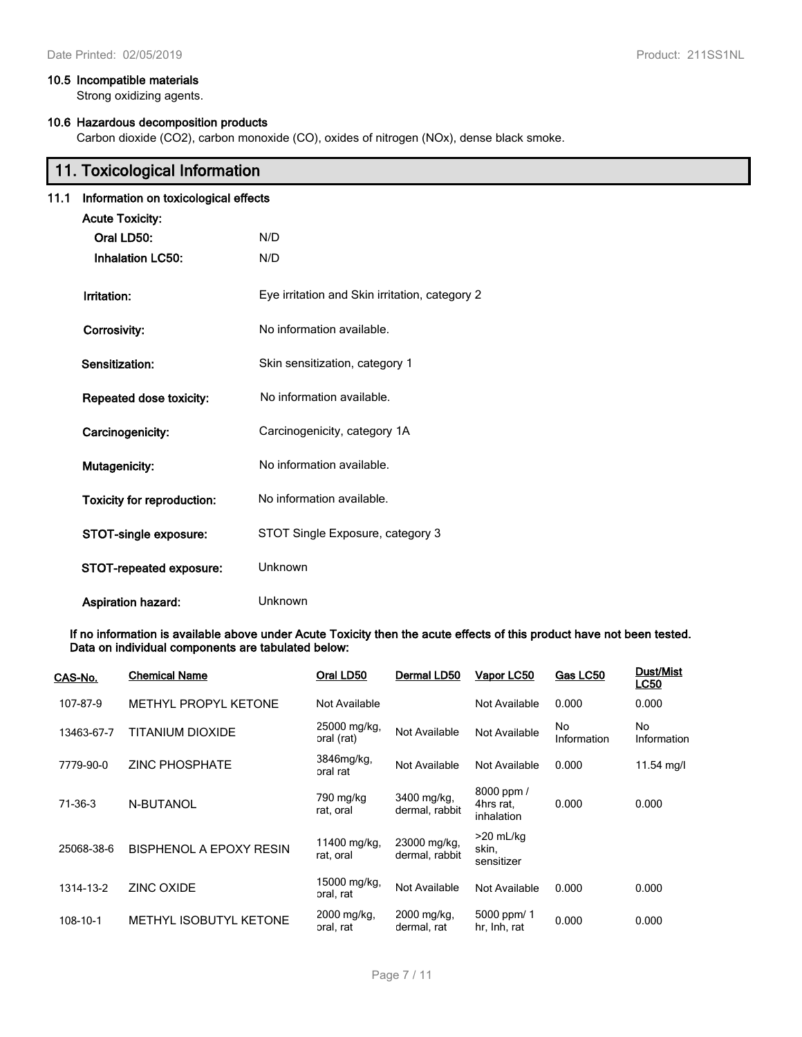#### **10.5 Incompatible materials**

Strong oxidizing agents.

# **10.6 Hazardous decomposition products**

Carbon dioxide (CO2), carbon monoxide (CO), oxides of nitrogen (NOx), dense black smoke.

|                                                           | 11. Toxicological Information                                                                                     |                              |  |  |  |
|-----------------------------------------------------------|-------------------------------------------------------------------------------------------------------------------|------------------------------|--|--|--|
| 11.1                                                      | Information on toxicological effects                                                                              |                              |  |  |  |
|                                                           | <b>Acute Toxicity:</b>                                                                                            |                              |  |  |  |
|                                                           | Oral LD50:                                                                                                        | N/D                          |  |  |  |
|                                                           | <b>Inhalation LC50:</b>                                                                                           | N/D                          |  |  |  |
|                                                           | Eye irritation and Skin irritation, category 2<br>Irritation:<br>No information available.<br><b>Corrosivity:</b> |                              |  |  |  |
|                                                           |                                                                                                                   |                              |  |  |  |
| Skin sensitization, category 1<br>Sensitization:          |                                                                                                                   |                              |  |  |  |
|                                                           | Repeated dose toxicity:                                                                                           | No information available.    |  |  |  |
| Carcinogenicity:                                          |                                                                                                                   | Carcinogenicity, category 1A |  |  |  |
|                                                           | Mutagenicity:                                                                                                     | No information available.    |  |  |  |
|                                                           | Toxicity for reproduction:                                                                                        | No information available.    |  |  |  |
| STOT Single Exposure, category 3<br>STOT-single exposure: |                                                                                                                   |                              |  |  |  |
|                                                           | STOT-repeated exposure:                                                                                           | <b>Unknown</b>               |  |  |  |
|                                                           | Aspiration hazard:                                                                                                | Unknown                      |  |  |  |

**If no information is available above under Acute Toxicity then the acute effects of this product have not been tested. Data on individual components are tabulated below:**

| CAS-No.    | <b>Chemical Name</b>    | Oral LD50                  | Dermal LD50                    | Vapor LC50                            | Gas LC50          | Dust/Mist<br><b>LC50</b> |
|------------|-------------------------|----------------------------|--------------------------------|---------------------------------------|-------------------|--------------------------|
| 107-87-9   | METHYL PROPYL KETONE    | Not Available              |                                | Not Available                         | 0.000             | 0.000                    |
| 13463-67-7 | TITANIUM DIOXIDE        | 25000 mg/kg,<br>oral (rat) | Not Available                  | Not Available                         | No<br>Information | No<br>Information        |
| 7779-90-0  | <b>ZINC PHOSPHATE</b>   | 3846mg/kg,<br>oral rat     | Not Available                  | Not Available                         | 0.000             | 11.54 mg/l               |
| 71-36-3    | N-BUTANOL               | 790 mg/kg<br>rat, oral     | 3400 mg/kg,<br>dermal, rabbit  | 8000 ppm /<br>4hrs rat.<br>inhalation | 0.000             | 0.000                    |
| 25068-38-6 | BISPHENOL A EPOXY RESIN | 11400 mg/kg,<br>rat, oral  | 23000 mg/kg,<br>dermal, rabbit | $>20$ mL/kg<br>skin,<br>sensitizer    |                   |                          |
| 1314-13-2  | <b>ZINC OXIDE</b>       | 15000 mg/kg,<br>oral, rat  | Not Available                  | Not Available                         | 0.000             | 0.000                    |
| 108-10-1   | METHYL ISOBUTYL KETONE  | 2000 mg/kg,<br>oral, rat   | 2000 mg/kg,<br>dermal, rat     | 5000 ppm/ 1<br>hr, Inh, rat           | 0.000             | 0.000                    |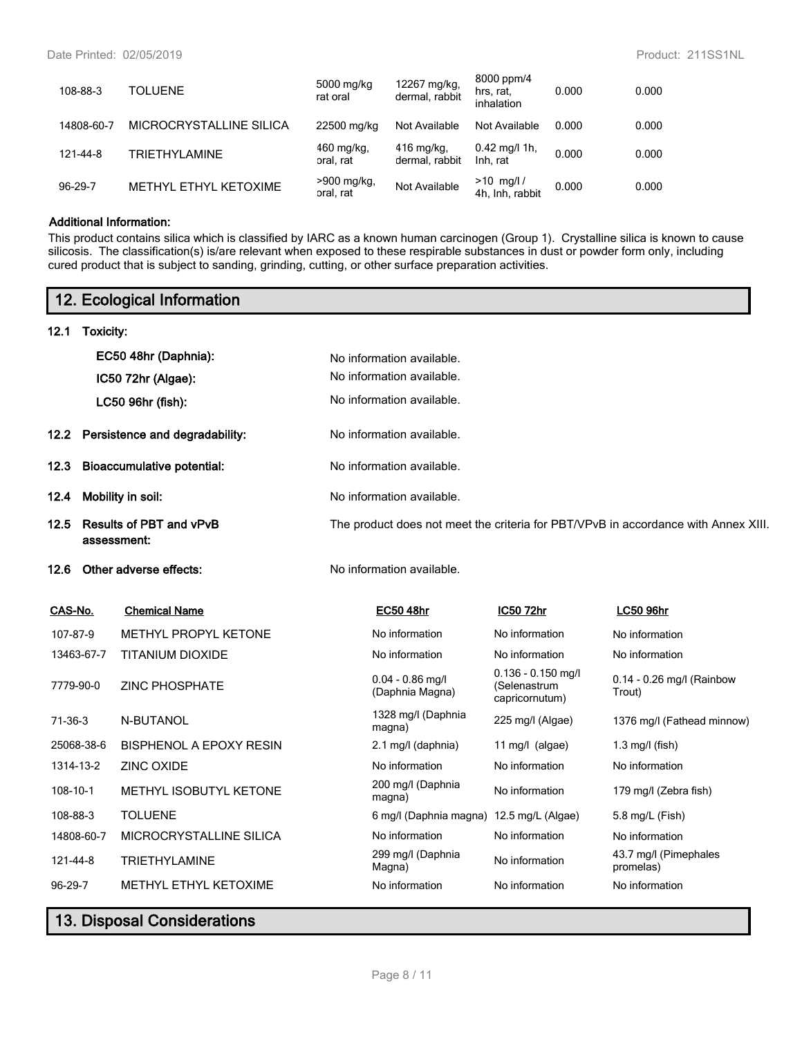| 108-88-3   | <b>TOLUENE</b>          | 5000 mg/kg<br>rat oral     | 12267 mg/kg,<br>dermal, rabbit | 8000 ppm/4<br>hrs, rat,<br>inhalation | 0.000 | 0.000 |
|------------|-------------------------|----------------------------|--------------------------------|---------------------------------------|-------|-------|
| 14808-60-7 | MICROCRYSTALLINE SILICA | 22500 mg/kg                | Not Available                  | Not Available                         | 0.000 | 0.000 |
| 121-44-8   | <b>TRIETHYLAMINE</b>    | 460 mg/kg,<br>oral. rat    | $416$ mg/kg,<br>dermal, rabbit | $0.42 \text{ mg/l}$ 1h,<br>Inh. rat   | 0.000 | 0.000 |
| 96-29-7    | METHYL ETHYL KETOXIME   | $>900$ mg/kg,<br>oral, rat | Not Available                  | $>10$ mg/l /<br>4h. Inh. rabbit       | 0.000 | 0.000 |

#### **Additional Information:**

This product contains silica which is classified by IARC as a known human carcinogen (Group 1). Crystalline silica is known to cause silicosis. The classification(s) is/are relevant when exposed to these respirable substances in dust or powder form only, including cured product that is subject to sanding, grinding, cutting, or other surface preparation activities.

# **12. Ecological Information**

#### **12.1 Toxicity:**

|                   |                                               | EC50 48hr (Daphnia):<br>IC50 72hr (Algae):          | No information available.<br>No information available.<br>No information available. |                                                        |                                                                                    |
|-------------------|-----------------------------------------------|-----------------------------------------------------|-------------------------------------------------------------------------------------|--------------------------------------------------------|------------------------------------------------------------------------------------|
| 12.2 <sub>2</sub> |                                               | LC50 96hr (fish):<br>Persistence and degradability: | No information available.                                                           |                                                        |                                                                                    |
| 12.3              |                                               | <b>Bioaccumulative potential:</b>                   | No information available.                                                           |                                                        |                                                                                    |
| 12.4              |                                               | Mobility in soil:                                   | No information available.                                                           |                                                        |                                                                                    |
| 12.5              | <b>Results of PBT and vPvB</b><br>assessment: |                                                     |                                                                                     |                                                        | The product does not meet the criteria for PBT/VPvB in accordance with Annex XIII. |
| 12.6              |                                               | Other adverse effects:                              | No information available.                                                           |                                                        |                                                                                    |
| CAS-No.           |                                               | <b>Chemical Name</b>                                | <b>EC50 48hr</b>                                                                    | IC50 72hr                                              | <b>LC50 96hr</b>                                                                   |
| 107-87-9          |                                               | METHYL PROPYL KETONE                                | No information                                                                      | No information                                         | No information                                                                     |
| 13463-67-7        |                                               | <b>TITANIUM DIOXIDE</b>                             | No information                                                                      | No information                                         | No information                                                                     |
| 7779-90-0         |                                               | <b>ZINC PHOSPHATE</b>                               | $0.04 - 0.86$ mg/l<br>(Daphnia Magna)                                               | $0.136 - 0.150$ mg/l<br>(Selenastrum<br>capricornutum) | 0.14 - 0.26 mg/l (Rainbow<br>Trout)                                                |
| $71-36-3$         |                                               | N-BUTANOL                                           | 1328 mg/l (Daphnia<br>magna)                                                        | 225 mg/l (Algae)                                       | 1376 mg/l (Fathead minnow)                                                         |
| 25068-38-6        |                                               | <b>BISPHENOL A EPOXY RESIN</b>                      | 2.1 mg/l (daphnia)                                                                  | 11 mg/l $(algae)$                                      | $1.3$ mg/l (fish)                                                                  |
| 1314-13-2         |                                               | <b>ZINC OXIDE</b>                                   | No information                                                                      | No information                                         | No information                                                                     |
| $108 - 10 - 1$    |                                               | METHYL ISOBUTYL KETONE                              | 200 mg/l (Daphnia<br>magna)                                                         | No information                                         | 179 mg/l (Zebra fish)                                                              |
| 108-88-3          |                                               | <b>TOLUENE</b>                                      | 6 mg/l (Daphnia magna)                                                              | 12.5 mg/L (Algae)                                      | 5.8 mg/L (Fish)                                                                    |
| 14808-60-7        |                                               | MICROCRYSTALLINE SILICA                             | No information                                                                      | No information                                         | No information                                                                     |
| 121-44-8          |                                               | <b>TRIETHYLAMINE</b>                                | 299 mg/l (Daphnia<br>Magna)                                                         | No information                                         | 43.7 mg/l (Pimephales<br>promelas)                                                 |
| 96-29-7           |                                               | METHYL ETHYL KETOXIME                               | No information                                                                      | No information                                         | No information                                                                     |
|                   |                                               |                                                     |                                                                                     |                                                        |                                                                                    |

# **13. Disposal Considerations**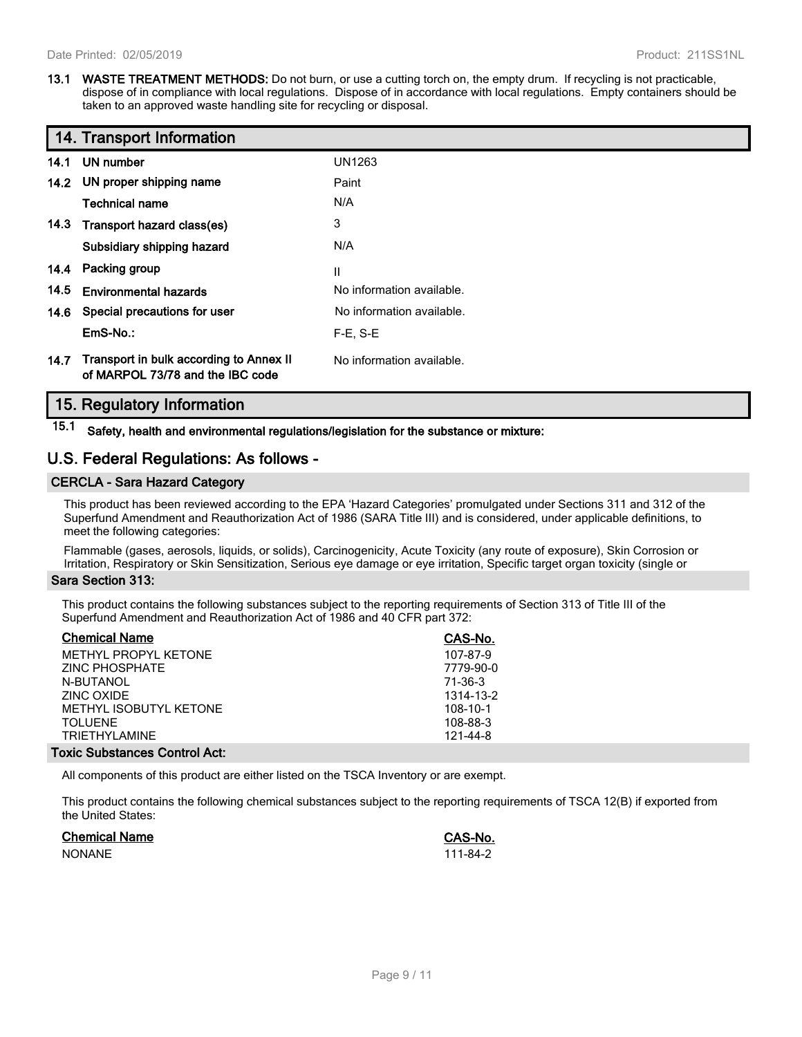**13.1 WASTE TREATMENT METHODS:** Do not burn, or use a cutting torch on, the empty drum. If recycling is not practicable, dispose of in compliance with local regulations. Dispose of in accordance with local regulations. Empty containers should be taken to an approved waste handling site for recycling or disposal.

|      | 14. Transport Information                                                   |                           |
|------|-----------------------------------------------------------------------------|---------------------------|
| 14.1 | UN number                                                                   | UN1263                    |
|      | 14.2 UN proper shipping name                                                | Paint                     |
|      | <b>Technical name</b>                                                       | N/A                       |
|      | 14.3 Transport hazard class(es)                                             | 3                         |
|      | Subsidiary shipping hazard                                                  | N/A                       |
|      | 14.4 Packing group                                                          | Ш                         |
| 14.5 | <b>Environmental hazards</b>                                                | No information available. |
|      | 14.6 Special precautions for user                                           | No information available. |
|      | EmS-No.:                                                                    | $F-E. S-E$                |
| 14.7 | Transport in bulk according to Annex II<br>of MARPOL 73/78 and the IBC code | No information available. |

# **15. Regulatory Information**

**15.1 Safety, health and environmental regulations/legislation for the substance or mixture:**

# **U.S. Federal Regulations: As follows -**

## **CERCLA - Sara Hazard Category**

This product has been reviewed according to the EPA 'Hazard Categories' promulgated under Sections 311 and 312 of the Superfund Amendment and Reauthorization Act of 1986 (SARA Title III) and is considered, under applicable definitions, to meet the following categories:

Flammable (gases, aerosols, liquids, or solids), Carcinogenicity, Acute Toxicity (any route of exposure), Skin Corrosion or Irritation, Respiratory or Skin Sensitization, Serious eye damage or eye irritation, Specific target organ toxicity (single or

#### **Sara Section 313:**

This product contains the following substances subject to the reporting requirements of Section 313 of Title III of the Superfund Amendment and Reauthorization Act of 1986 and 40 CFR part 372:

| <b>Chemical Name</b>                 | CAS-No.   |
|--------------------------------------|-----------|
| METHYL PROPYL KETONE                 | 107-87-9  |
| ZINC PHOSPHATE                       | 7779-90-0 |
| N-BUTANOL                            | 71-36-3   |
| ZINC OXIDE                           | 1314-13-2 |
| METHYL ISOBUTYL KETONE               | 108-10-1  |
| <b>TOLUENE</b>                       | 108-88-3  |
| TRIFTHYI AMINF                       | 121-44-8  |
| <b>Foxic Substances Control Act:</b> |           |

All components of this product are either listed on the TSCA Inventory or are exempt.

This product contains the following chemical substances subject to the reporting requirements of TSCA 12(B) if exported from the United States:

| <b>Chemical Name</b> | <b>CAS-No.</b> |
|----------------------|----------------|
| <b>NONANE</b>        | 111-84-2       |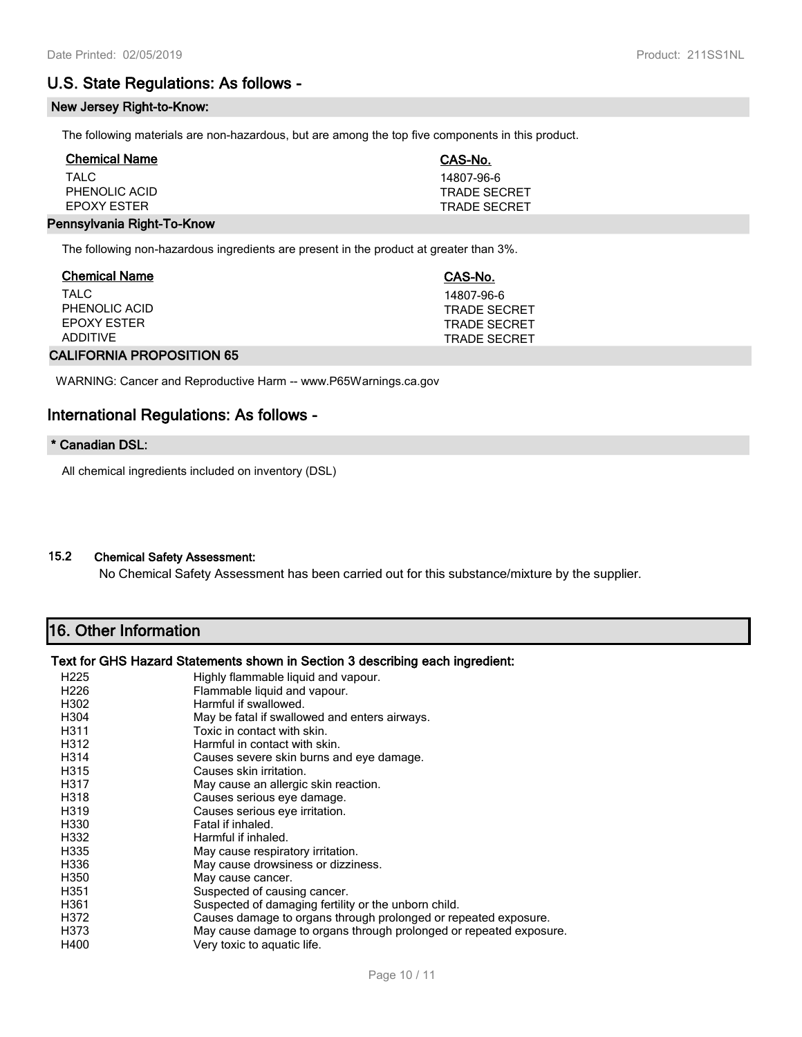# **U.S. State Regulations: As follows -**

#### **New Jersey Right-to-Know:**

The following materials are non-hazardous, but are among the top five components in this product.

| <b>Chemical Name</b> | CAS-No.             |
|----------------------|---------------------|
| TAI C                | 14807-96-6          |
| PHENOLIC ACID        | <b>TRADE SECRET</b> |
| <b>FPOXY FSTER</b>   | <b>TRADE SECRET</b> |
|                      |                     |

#### **Pennsylvania Right-To-Know**

The following non-hazardous ingredients are present in the product at greater than 3%.

| <b>Chemical Name</b> | CAS-No.             |
|----------------------|---------------------|
| TAI C                | 14807-96-6          |
| PHENOLIC ACID        | <b>TRADE SECRET</b> |
| EPOXY ESTER          | TRADE SECRET        |
| <b>ADDITIVE</b>      | TRADE SECRET        |
|                      |                     |

# **CALIFORNIA PROPOSITION 65**

WARNING: Cancer and Reproductive Harm -- www.P65Warnings.ca.gov

# **International Regulations: As follows -**

## **\* Canadian DSL:**

All chemical ingredients included on inventory (DSL)

# **15.2 Chemical Safety Assessment:**

No Chemical Safety Assessment has been carried out for this substance/mixture by the supplier.

# **16. Other Information**

#### **Text for GHS Hazard Statements shown in Section 3 describing each ingredient:**

| H <sub>225</sub><br>H <sub>226</sub><br>H302 | Highly flammable liquid and vapour.<br>Flammable liquid and vapour.<br>Harmful if swallowed. |
|----------------------------------------------|----------------------------------------------------------------------------------------------|
| H <sub>304</sub>                             | May be fatal if swallowed and enters airways.                                                |
| H311                                         | Toxic in contact with skin.                                                                  |
| H312                                         | Harmful in contact with skin.                                                                |
| H314                                         | Causes severe skin burns and eye damage.                                                     |
| H315                                         | Causes skin irritation.                                                                      |
| H317                                         | May cause an allergic skin reaction.                                                         |
| H318                                         | Causes serious eye damage.                                                                   |
| H319                                         | Causes serious eye irritation.                                                               |
| H330                                         | Fatal if inhaled.                                                                            |
| H332                                         | Harmful if inhaled.                                                                          |
| H335                                         | May cause respiratory irritation.                                                            |
| H336                                         | May cause drowsiness or dizziness.                                                           |
| H350                                         | May cause cancer.                                                                            |
| H351                                         | Suspected of causing cancer.                                                                 |
| H361                                         | Suspected of damaging fertility or the unborn child.                                         |
| H372                                         | Causes damage to organs through prolonged or repeated exposure.                              |
| H373                                         | May cause damage to organs through prolonged or repeated exposure.                           |
| H400                                         | Very toxic to aquatic life.                                                                  |